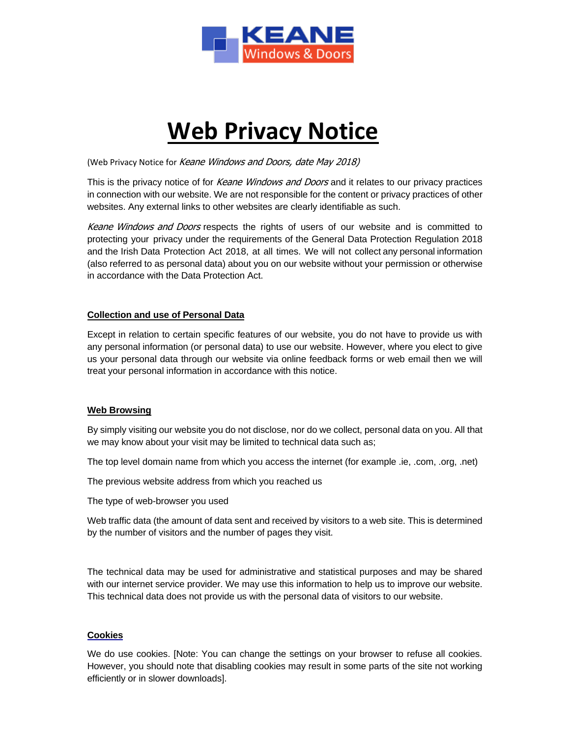

# **Web Privacy Notice**

(Web Privacy Notice for Keane Windows and Doors, date May 2018)

This is the privacy notice of for *Keane Windows and Doors* and it relates to our privacy practices in connection with our website. We are not responsible for the content or privacy practices of other websites. Any external links to other websites are clearly identifiable as such.

Keane Windows and Doors respects the rights of users of our website and is committed to protecting your privacy under the requirements of the General Data Protection Regulation 2018 and the Irish Data Protection Act 2018, at all times. We will not collect any personal information (also referred to as personal data) about you on our website without your permission or otherwise in accordance with the Data Protection Act.

# **Collection and use of Personal Data**

Except in relation to certain specific features of our website, you do not have to provide us with any personal information (or personal data) to use our website. However, where you elect to give us your personal data through our website via online feedback forms or web email then we will treat your personal information in accordance with this notice.

## **Web Browsing**

By simply visiting our website you do not disclose, nor do we collect, personal data on you. All that we may know about your visit may be limited to technical data such as;

The top level domain name from which you access the internet (for example .ie, .com, .org, .net)

The previous website address from which you reached us

The type of web-browser you used

Web traffic data (the amount of data sent and received by visitors to a web site. This is determined by the number of visitors and the number of pages they visit.

The technical data may be used for administrative and statistical purposes and may be shared with our internet service provider. We may use this information to help us to improve our website. This technical data does not provide us with the personal data of visitors to our website.

# **Cookies**

We do use cookies. [Note: You can change the settings on your browser to refuse all cookies. However, you should note that disabling cookies may result in some parts of the site not working efficiently or in slower downloads].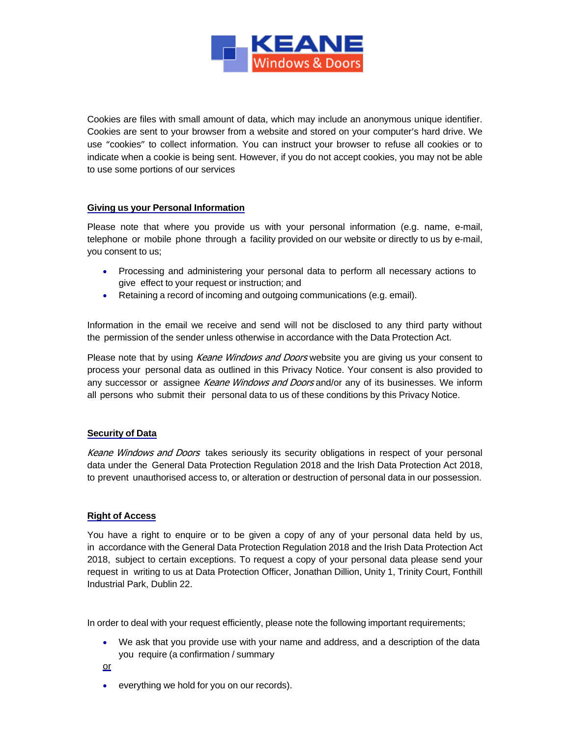

Cookies are files with small amount of data, which may include an anonymous unique identifier. Cookies are sent to your browser from a website and stored on your computer's hard drive. We use "cookies" to collect information. You can instruct your browser to refuse all cookies or to indicate when a cookie is being sent. However, if you do not accept cookies, you may not be able to use some portions of our services

## **Giving us your Personal Information**

Please note that where you provide us with your personal information (e.g. name, e-mail, telephone or mobile phone through a facility provided on our website or directly to us by e-mail, you consent to us;

- Processing and administering your personal data to perform all necessary actions to give effect to your request or instruction; and
- Retaining a record of incoming and outgoing communications (e.g. email).

Information in the email we receive and send will not be disclosed to any third party without the permission of the sender unless otherwise in accordance with the Data Protection Act.

Please note that by using Keane Windows and Doors website you are giving us your consent to process your personal data as outlined in this Privacy Notice. Your consent is also provided to any successor or assignee Keane Windows and Doors and/or any of its businesses. We inform all persons who submit their personal data to us of these conditions by this Privacy Notice.

# **Security of Data**

Keane Windows and Doors takes seriously its security obligations in respect of your personal data under the General Data Protection Regulation 2018 and the Irish Data Protection Act 2018, to prevent unauthorised access to, or alteration or destruction of personal data in our possession.

## **Right of Access**

You have a right to enquire or to be given a copy of any of your personal data held by us, in accordance with the General Data Protection Regulation 2018 and the Irish Data Protection Act 2018, subject to certain exceptions. To request a copy of your personal data please send your request in writing to us at Data Protection Officer, Jonathan Dillion, Unity 1, Trinity Court, Fonthill Industrial Park, Dublin 22.

In order to deal with your request efficiently, please note the following important requirements;

- We ask that you provide use with your name and address, and a description of the data you require (a confirmation / summary
- or
- everything we hold for you on our records).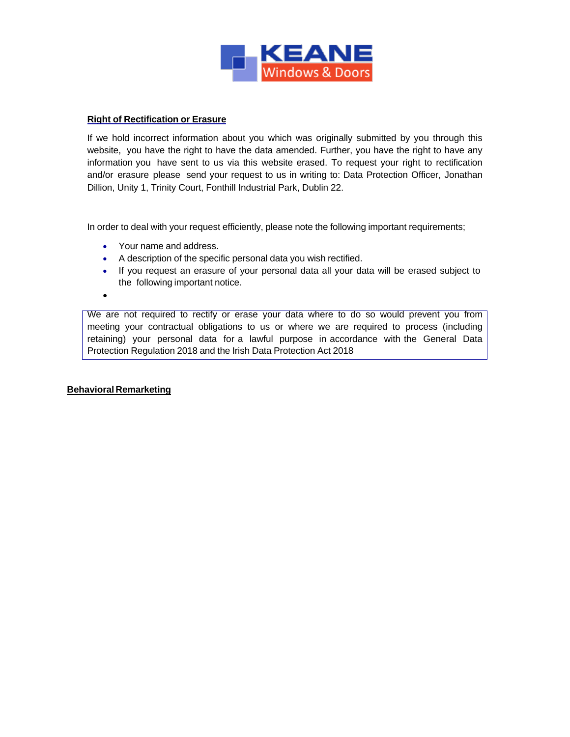

## **Right of Rectification or Erasure**

If we hold incorrect information about you which was originally submitted by you through this website, you have the right to have the data amended. Further, you have the right to have any information you have sent to us via this website erased. To request your right to rectification and/or erasure please send your request to us in writing to: Data Protection Officer, Jonathan Dillion, Unity 1, Trinity Court, Fonthill Industrial Park, Dublin 22.

In order to deal with your request efficiently, please note the following important requirements;

- Your name and address.
- A description of the specific personal data you wish rectified.
- If you request an erasure of your personal data all your data will be erased subject to the following important notice.
- •

We are not required to rectify or erase your data where to do so would prevent you from meeting your contractual obligations to us or where we are required to process (including retaining) your personal data for a lawful purpose in accordance with the General Data Protection Regulation 2018 and the Irish Data Protection Act 2018

## **Behavioral Remarketing**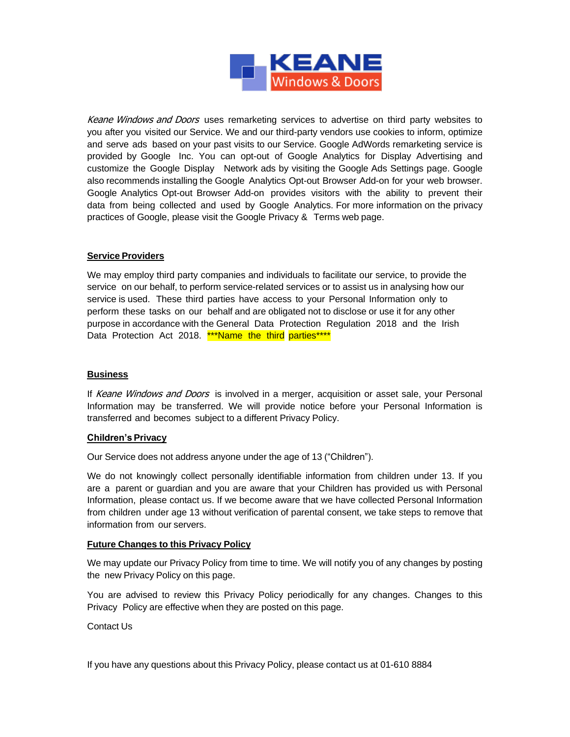

Keane Windows and Doors uses remarketing services to advertise on third party websites to you after you visited our Service. We and our third-party vendors use cookies to inform, optimize and serve ads based on your past visits to our Service. Google AdWords remarketing service is provided by Google Inc. You can opt-out of Google Analytics for Display Advertising and customize the Google Display Network ads by visiting the Google Ads Settings page. Google also recommends installing the Google Analytics Opt-out Browser Add-on for your web browser. Google Analytics Opt-out Browser Add-on provides visitors with the ability to prevent their data from being collected and used by Google Analytics. For more information on the privacy practices of Google, please visit the Google Privacy & Terms web page.

## **Service Providers**

We may employ third party companies and individuals to facilitate our service, to provide the service on our behalf, to perform service-related services or to assist us in analysing how our service is used. These third parties have access to your Personal Information only to perform these tasks on our behalf and are obligated not to disclose or use it for any other purpose in accordance with the General Data Protection Regulation 2018 and the Irish Data Protection Act 2018. **\*\*\*Name the third parties\*\*\*\*** 

## **Business**

If Keane Windows and Doors is involved in a merger, acquisition or asset sale, your Personal Information may be transferred. We will provide notice before your Personal Information is transferred and becomes subject to a different Privacy Policy.

## **Children's Privacy**

Our Service does not address anyone under the age of 13 ("Children").

We do not knowingly collect personally identifiable information from children under 13. If you are a parent or guardian and you are aware that your Children has provided us with Personal Information, please contact us. If we become aware that we have collected Personal Information from children under age 13 without verification of parental consent, we take steps to remove that information from our servers.

## **Future Changes to this Privacy Policy**

We may update our Privacy Policy from time to time. We will notify you of any changes by posting the new Privacy Policy on this page.

You are advised to review this Privacy Policy periodically for any changes. Changes to this Privacy Policy are effective when they are posted on this page.

Contact Us

If you have any questions about this Privacy Policy, please contact us at 01-610 8884